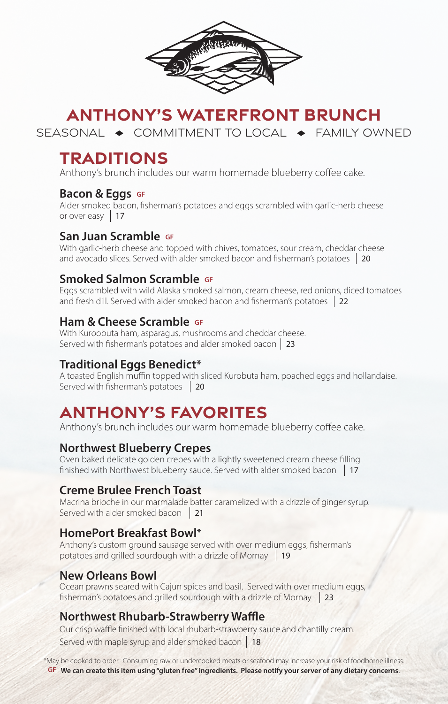

# **ANTHONY'S WATERFRONT BRUNCH**

SEASONAL  $\rightarrow$  COMMITMENT TO LOCAL  $\rightarrow$  FAMILY OWNED

# **TRADITIONS**

Anthony's brunch includes our warm homemade blueberry coffee cake.

#### **Bacon & Eggs** GF

Alder smoked bacon, fisherman's potatoes and eggs scrambled with garlic-herb cheese or over easy 17

### **San Juan Scramble GF**

With garlic-herb cheese and topped with chives, tomatoes, sour cream, cheddar cheese and avocado slices. Served with alder smoked bacon and fisherman's potatoes 20

### **Smoked Salmon Scramble GF**

Eggs scrambled with wild Alaska smoked salmon, cream cheese, red onions, diced tomatoes and fresh dill. Served with alder smoked bacon and fisherman's potatoes 22

### **Ham & Cheese Scramble GF**

With Kuroobuta ham, asparagus, mushrooms and cheddar cheese. Served with fisherman's potatoes and alder smoked bacon | 23

### **Traditional Eggs Benedict\***

A toasted English muffin topped with sliced Kurobuta ham, poached eggs and hollandaise. Served with fisherman's potatoes 20

# **ANTHONY'S FAVORITES**

Anthony's brunch includes our warm homemade blueberry coffee cake.

## **Northwest Blueberry Crepes**

Oven baked delicate golden crepes with a lightly sweetened cream cheese filling finished with Northwest blueberry sauce. Served with alder smoked bacon 17

### **Creme Brulee French Toast**

Macrina brioche in our marmalade batter caramelized with a drizzle of ginger syrup. Served with alder smoked bacon 21

### **HomePort Breakfast Bowl\***

Anthony's custom ground sausage served with over medium eggs, fisherman's potatoes and grilled sourdough with a drizzle of Mornay 19

### **New Orleans Bowl**

Ocean prawns seared with Cajun spices and basil. Served with over medium eggs, fisherman's potatoes and grilled sourdough with a drizzle of Mornay 23

### **Northwest Rhubarb-Strawberry Waffle**

Our crisp waffle finished with local rhubarb-strawberry sauce and chantilly cream. Served with maple syrup and alder smoked bacon 18

\*May be cooked to order. Consuming raw or undercooked meats or seafood may increase your risk of foodborne illness. **GF We can create this item using "gluten free" ingredients. Please notify your server of any dietary concerns**.